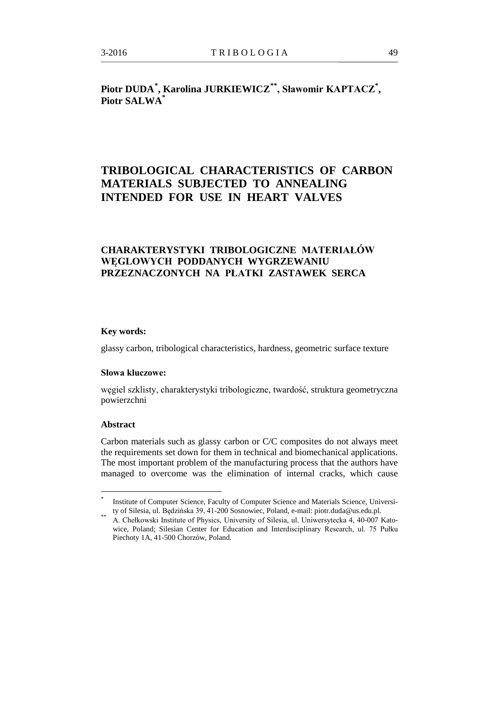# **Piotr DUDA[\\*](#page-0-0) , Karolina JURKIEWICZ[\\*\\*](#page-0-1), Sławomir KAPTACZ\* , Piotr SALWA\***

# **TRIBOLOGICAL CHARACTERISTICS OF CARBON MATERIALS SUBJECTED TO ANNEALING INTENDED FOR USE IN HEART VALVES**

## **CHARAKTERYSTYKI TRIBOLOGICZNE MATERIAŁÓW WĘGLOWYCH PODDANYCH WYGRZEWANIU PRZEZNACZONYCH NA PŁATKI ZASTAWEK SERCA**

#### **Key words:**

glassy carbon, tribological characteristics, hardness, geometric surface texture

### **Słowa kluczowe:**

węgiel szklisty, charakterystyki tribologiczne, twardość, struktura geometryczna powierzchni

#### **Abstract**

Carbon materials such as glassy carbon or C/C composites do not always meet the requirements set down for them in technical and biomechanical applications. The most important problem of the manufacturing process that the authors have managed to overcome was the elimination of internal cracks, which cause

<span id="page-0-1"></span><span id="page-0-0"></span>Institute of Computer Science, Faculty of Computer Science and Materials Science, Universi-

ty of Silesia, ul. Będzińska 39, 41-200 Sosnowiec, Poland, e-mail: piotr.duda@us.edu.pl.<br>A. Chełkowski Institute of Physics, University of Silesia, ul. Uniwersytecka 4, 40-007 Katowice, Poland; Silesian Center for Education and Interdisciplinary Research, ul. 75 Pułku Piechoty 1A, 41-500 Chorzów, Poland.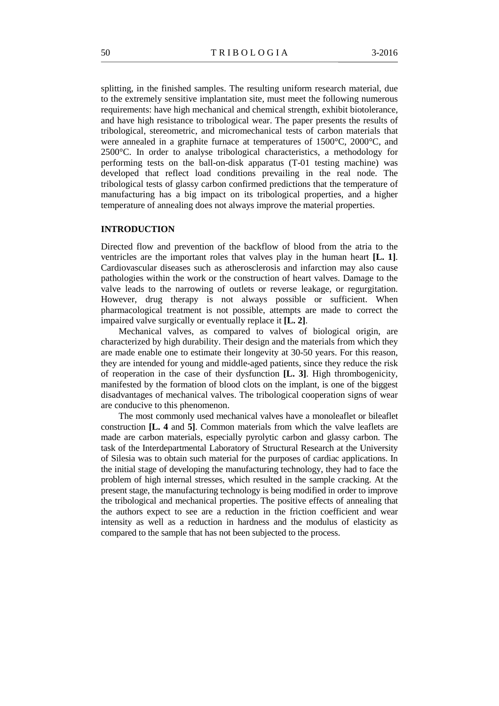splitting, in the finished samples. The resulting uniform research material, due to the extremely sensitive implantation site, must meet the following numerous requirements: have high mechanical and chemical strength, exhibit biotolerance, and have high resistance to tribological wear. The paper presents the results of tribological, stereometric, and micromechanical tests of carbon materials that were annealed in a graphite furnace at temperatures of 1500°C, 2000°C, and 2500°C. In order to analyse tribological characteristics, a methodology for performing tests on the ball-on-disk apparatus (T-01 testing machine) was developed that reflect load conditions prevailing in the real node. The tribological tests of glassy carbon confirmed predictions that the temperature of manufacturing has a big impact on its tribological properties, and a higher temperature of annealing does not always improve the material properties.

#### **INTRODUCTION**

Directed flow and prevention of the backflow of blood from the atria to the ventricles are the important roles that valves play in the human heart **[L. 1]**. Cardiovascular diseases such as atherosclerosis and infarction may also cause pathologies within the work or the construction of heart valves. Damage to the valve leads to the narrowing of outlets or reverse leakage, or regurgitation. However, drug therapy is not always possible or sufficient. When pharmacological treatment is not possible, attempts are made to correct the impaired valve surgically or eventually replace it **[L. 2]**.

Mechanical valves, as compared to valves of biological origin, are characterized by high durability. Their design and the materials from which they are made enable one to estimate their longevity at 30-50 years. For this reason, they are intended for young and middle-aged patients, since they reduce the risk of reoperation in the case of their dysfunction **[L. 3]**. High thrombogenicity, manifested by the formation of blood clots on the implant, is one of the biggest disadvantages of mechanical valves. The tribological cooperation signs of wear are conducive to this phenomenon.

The most commonly used mechanical valves have a monoleaflet or bileaflet construction **[L. 4** and **5]**. Common materials from which the valve leaflets are made are carbon materials, especially pyrolytic carbon and glassy carbon. The task of the Interdepartmental Laboratory of Structural Research at the University of Silesia was to obtain such material for the purposes of cardiac applications. In the initial stage of developing the manufacturing technology, they had to face the problem of high internal stresses, which resulted in the sample cracking. At the present stage, the manufacturing technology is being modified in order to improve the tribological and mechanical properties. The positive effects of annealing that the authors expect to see are a reduction in the friction coefficient and wear intensity as well as a reduction in hardness and the modulus of elasticity as compared to the sample that has not been subjected to the process.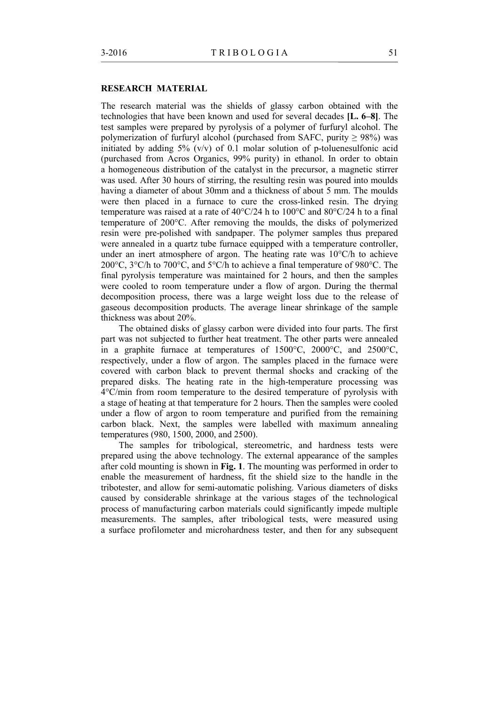### **RESEARCH MATERIAL**

The research material was the shields of glassy carbon obtained with the technologies that have been known and used for several decades **[L. 6–8]**. The test samples were prepared by pyrolysis of a polymer of furfuryl alcohol. The polymerization of furfuryl alcohol (purchased from SAFC, purity  $\geq$  98%) was initiated by adding  $5\%$  (v/v) of 0.1 molar solution of p-toluenesulfonic acid (purchased from Acros Organics, 99% purity) in ethanol. In order to obtain a homogeneous distribution of the catalyst in the precursor, a magnetic stirrer was used. After 30 hours of stirring, the resulting resin was poured into moulds having a diameter of about 30mm and a thickness of about 5 mm. The moulds were then placed in a furnace to cure the cross-linked resin. The drying temperature was raised at a rate of 40°C/24 h to 100°C and 80°C/24 h to a final temperature of 200°C. After removing the moulds, the disks of polymerized resin were pre-polished with sandpaper. The polymer samples thus prepared were annealed in a quartz tube furnace equipped with a temperature controller, under an inert atmosphere of argon. The heating rate was 10°C/h to achieve 200°C, 3°C/h to 700°C, and 5°C/h to achieve a final temperature of 980°C. The final pyrolysis temperature was maintained for 2 hours, and then the samples were cooled to room temperature under a flow of argon. During the thermal decomposition process, there was a large weight loss due to the release of gaseous decomposition products. The average linear shrinkage of the sample thickness was about 20%.

The obtained disks of glassy carbon were divided into four parts. The first part was not subjected to further heat treatment. The other parts were annealed in a graphite furnace at temperatures of 1500°C, 2000°C, and 2500°C, respectively, under a flow of argon. The samples placed in the furnace were covered with carbon black to prevent thermal shocks and cracking of the prepared disks. The heating rate in the high-temperature processing was 4°C/min from room temperature to the desired temperature of pyrolysis with a stage of heating at that temperature for 2 hours. Then the samples were cooled under a flow of argon to room temperature and purified from the remaining carbon black. Next, the samples were labelled with maximum annealing temperatures (980, 1500, 2000, and 2500).

The samples for tribological, stereometric, and hardness tests were prepared using the above technology. The external appearance of the samples after cold mounting is shown in **Fig. 1**. The mounting was performed in order to enable the measurement of hardness, fit the shield size to the handle in the tribotester, and allow for semi-automatic polishing. Various diameters of disks caused by considerable shrinkage at the various stages of the technological process of manufacturing carbon materials could significantly impede multiple measurements. The samples, after tribological tests, were measured using a surface profilometer and microhardness tester, and then for any subsequent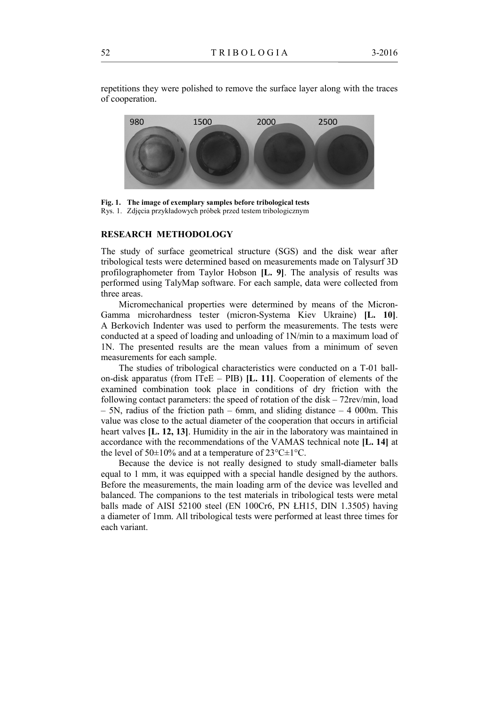repetitions they were polished to remove the surface layer along with the traces of cooperation.



**Fig. 1. The image of exemplary samples before tribological tests** Rys. 1. Zdjęcia przykładowych próbek przed testem tribologicznym

### **RESEARCH METHODOLOGY**

The study of surface geometrical structure (SGS) and the disk wear after tribological tests were determined based on measurements made on Talysurf 3D profilographometer from Taylor Hobson **[L. 9]**. The analysis of results was performed using TalyMap software. For each sample, data were collected from three areas.

Micromechanical properties were determined by means of the Micron-Gamma microhardness tester (micron-Systema Kiev Ukraine) **[L. 10]**. A Berkovich Indenter was used to perform the measurements. The tests were conducted at a speed of loading and unloading of 1N/min to a maximum load of 1N. The presented results are the mean values from a minimum of seven measurements for each sample.

The studies of tribological characteristics were conducted on a T-01 ballon-disk apparatus (from ITeE – PIB) **[L. 11]**. Cooperation of elements of the examined combination took place in conditions of dry friction with the following contact parameters: the speed of rotation of the disk – 72rev/min, load – 5N, radius of the friction path – 6mm, and sliding distance – 4 000m. This value was close to the actual diameter of the cooperation that occurs in artificial heart valves **[L. 12, 13]**. Humidity in the air in the laboratory was maintained in accordance with the recommendations of the VAMAS technical note **[L. 14]** at the level of 50 $\pm$ 10% and at a temperature of 23 $^{\circ}$ C $\pm$ 1 $^{\circ}$ C.

Because the device is not really designed to study small-diameter balls equal to 1 mm, it was equipped with a special handle designed by the authors. Before the measurements, the main loading arm of the device was levelled and balanced. The companions to the test materials in tribological tests were metal balls made of AISI 52100 steel (EN 100Cr6, PN ŁH15, DIN 1.3505) having a diameter of 1mm. All tribological tests were performed at least three times for each variant.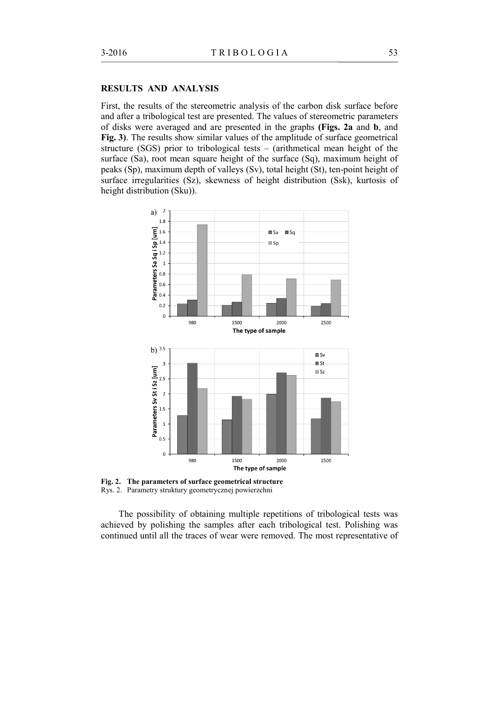#### **RESULTS AND ANALYSIS**

First, the results of the stereometric analysis of the carbon disk surface before and after a tribological test are presented. The values of stereometric parameters of disks were averaged and are presented in the graphs **(Figs. 2a** and **b**, and **Fig. 3)**. The results show similar values of the amplitude of surface geometrical structure (SGS) prior to tribological tests – (arithmetical mean height of the surface (Sa), root mean square height of the surface (Sq), maximum height of peaks (Sp), maximum depth of valleys (Sv), total height (St), ten-point height of surface irregularities (Sz), skewness of height distribution (Ssk), kurtosis of height distribution (Sku)).



**Fig. 2. The parameters of surface geometrical structure** Rys. 2. Parametry struktury geometrycznej powierzchni

The possibility of obtaining multiple repetitions of tribological tests was achieved by polishing the samples after each tribological test. Polishing was continued until all the traces of wear were removed. The most representative of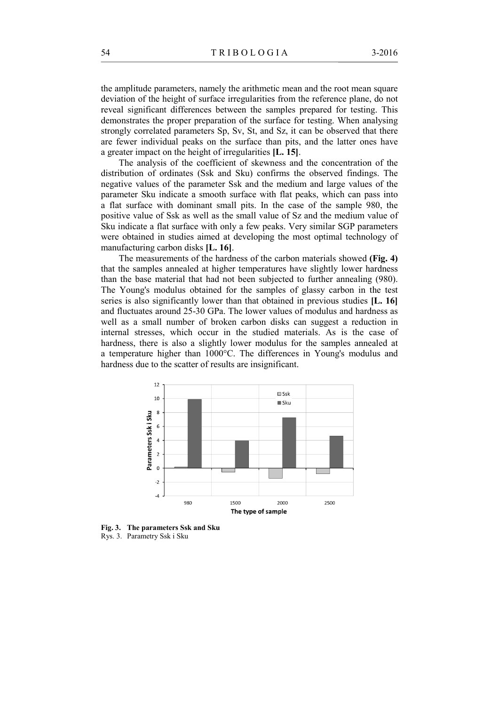the amplitude parameters, namely the arithmetic mean and the root mean square deviation of the height of surface irregularities from the reference plane, do not reveal significant differences between the samples prepared for testing. This demonstrates the proper preparation of the surface for testing. When analysing strongly correlated parameters Sp, Sv, St, and Sz, it can be observed that there are fewer individual peaks on the surface than pits, and the latter ones have a greater impact on the height of irregularities **[L. 15]**.

The analysis of the coefficient of skewness and the concentration of the distribution of ordinates (Ssk and Sku) confirms the observed findings. The negative values of the parameter Ssk and the medium and large values of the parameter Sku indicate a smooth surface with flat peaks, which can pass into a flat surface with dominant small pits. In the case of the sample 980, the positive value of Ssk as well as the small value of Sz and the medium value of Sku indicate a flat surface with only a few peaks. Very similar SGP parameters were obtained in studies aimed at developing the most optimal technology of manufacturing carbon disks **[L. 16]**.

The measurements of the hardness of the carbon materials showed **(Fig. 4)**  that the samples annealed at higher temperatures have slightly lower hardness than the base material that had not been subjected to further annealing (980). The Young's modulus obtained for the samples of glassy carbon in the test series is also significantly lower than that obtained in previous studies **[L. 16]** and fluctuates around 25-30 GPa. The lower values of modulus and hardness as well as a small number of broken carbon disks can suggest a reduction in internal stresses, which occur in the studied materials. As is the case of hardness, there is also a slightly lower modulus for the samples annealed at a temperature higher than 1000°C. The differences in Young's modulus and hardness due to the scatter of results are insignificant.



**Fig. 3. The parameters Ssk and Sku** Rys. 3. Parametry Ssk i Sku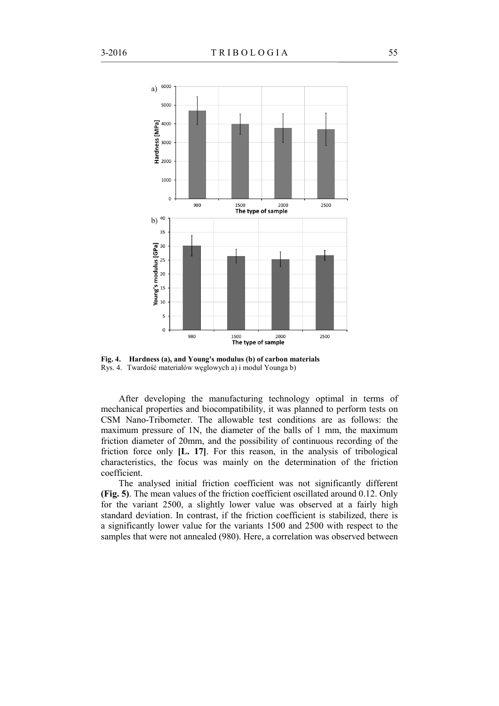

**Fig. 4. Hardness (a), and Young's modulus (b) of carbon materials** Rys. 4. Twardość materiałów węglowych a) i moduł Younga b)

After developing the manufacturing technology optimal in terms of mechanical properties and biocompatibility, it was planned to perform tests on CSM Nano-Tribometer. The allowable test conditions are as follows: the maximum pressure of 1N, the diameter of the balls of 1 mm, the maximum friction diameter of 20mm, and the possibility of continuous recording of the friction force only **[L. 17]**. For this reason, in the analysis of tribological characteristics, the focus was mainly on the determination of the friction coefficient.

The analysed initial friction coefficient was not significantly different **(Fig. 5)**. The mean values of the friction coefficient oscillated around 0.12. Only for the variant 2500, a slightly lower value was observed at a fairly high standard deviation. In contrast, if the friction coefficient is stabilized, there is a significantly lower value for the variants 1500 and 2500 with respect to the samples that were not annealed (980). Here, a correlation was observed between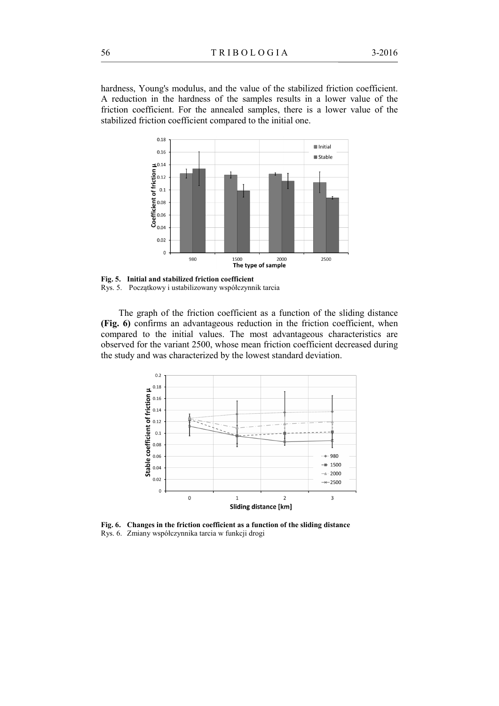hardness, Young's modulus, and the value of the stabilized friction coefficient. A reduction in the hardness of the samples results in a lower value of the friction coefficient. For the annealed samples, there is a lower value of the stabilized friction coefficient compared to the initial one.



**Fig. 5. Initial and stabilized friction coefficient** Rys. 5. Początkowy i ustabilizowany współczynnik tarcia

The graph of the friction coefficient as a function of the sliding distance **(Fig. 6)** confirms an advantageous reduction in the friction coefficient, when compared to the initial values. The most advantageous characteristics are observed for the variant 2500, whose mean friction coefficient decreased during the study and was characterized by the lowest standard deviation.



**Fig. 6. Changes in the friction coefficient as a function of the sliding distance** Rys. 6. Zmiany współczynnika tarcia w funkcji drogi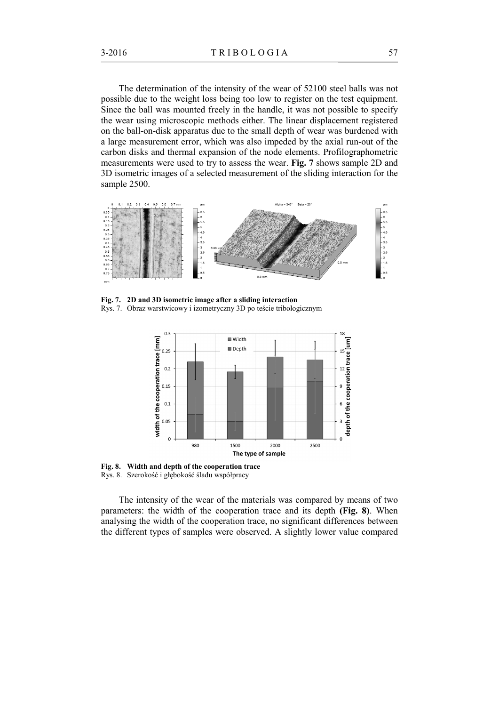The determination of the intensity of the wear of 52100 steel balls was not possible due to the weight loss being too low to register on the test equipment. Since the ball was mounted freely in the handle, it was not possible to specify the wear using microscopic methods either. The linear displacement registered on the ball-on-disk apparatus due to the small depth of wear was burdened with a large measurement error, which was also impeded by the axial run-out of the carbon disks and thermal expansion of the node elements. Profilographometric measurements were used to try to assess the wear. **Fig. 7** shows sample 2D and 3D isometric images of a selected measurement of the sliding interaction for the sample 2500.



**Fig. 7. 2D and 3D isometric image after a sliding interaction** Rys. 7. Obraz warstwicowy i izometryczny 3D po teście tribologicznym



**Fig. 8. Width and depth of the cooperation trace** Rys. 8. Szerokość i głębokość śladu współpracy

The intensity of the wear of the materials was compared by means of two parameters: the width of the cooperation trace and its depth **(Fig. 8)**. When analysing the width of the cooperation trace, no significant differences between the different types of samples were observed. A slightly lower value compared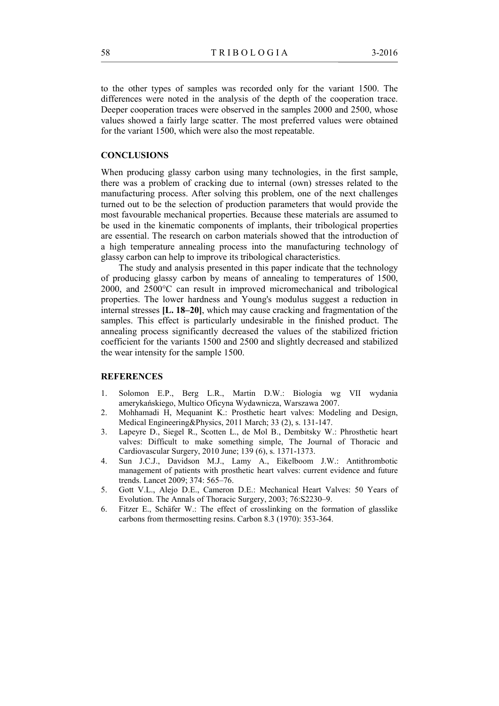to the other types of samples was recorded only for the variant 1500. The differences were noted in the analysis of the depth of the cooperation trace. Deeper cooperation traces were observed in the samples 2000 and 2500, whose values showed a fairly large scatter. The most preferred values were obtained for the variant 1500, which were also the most repeatable.

## **CONCLUSIONS**

When producing glassy carbon using many technologies, in the first sample, there was a problem of cracking due to internal (own) stresses related to the manufacturing process. After solving this problem, one of the next challenges turned out to be the selection of production parameters that would provide the most favourable mechanical properties. Because these materials are assumed to be used in the kinematic components of implants, their tribological properties are essential. The research on carbon materials showed that the introduction of a high temperature annealing process into the manufacturing technology of glassy carbon can help to improve its tribological characteristics.

The study and analysis presented in this paper indicate that the technology of producing glassy carbon by means of annealing to temperatures of 1500, 2000, and 2500°C can result in improved micromechanical and tribological properties. The lower hardness and Young's modulus suggest a reduction in internal stresses **[L. 18–20]**, which may cause cracking and fragmentation of the samples. This effect is particularly undesirable in the finished product. The annealing process significantly decreased the values of the stabilized friction coefficient for the variants 1500 and 2500 and slightly decreased and stabilized the wear intensity for the sample 1500.

#### **REFERENCES**

- 1. Solomon E.P., Berg L.R., Martin D.W.: Biologia wg VII wydania amerykańskiego, Multico Oficyna Wydawnicza, Warszawa 2007.
- 2. Mohhamadi H, Mequanint K.: Prosthetic heart valves: Modeling and Design, Medical Engineering&Physics, 2011 March; 33 (2), s. 131-147.
- 3. Lapeyre D., Siegel R., Scotten L., de Mol B., Dembitsky W.: Phrosthetic heart valves: Difficult to make something simple, The Journal of Thoracic and Cardiovascular Surgery, 2010 June; 139 (6), s. 1371-1373.
- 4. Sun J.C.J., Davidson M.J., Lamy A., Eikelboom J.W.: Antithrombotic management of patients with prosthetic heart valves: current evidence and future trends. Lancet 2009; 374: 565–76.
- 5. Gott V.L., Alejo D.E., Cameron D.E.: Mechanical Heart Valves: 50 Years of Evolution. The Annals of Thoracic Surgery, 2003; 76:S2230–9.
- 6. Fitzer E., Schäfer W.: The effect of crosslinking on the formation of glasslike carbons from thermosetting resins. Carbon 8.3 (1970): 353-364.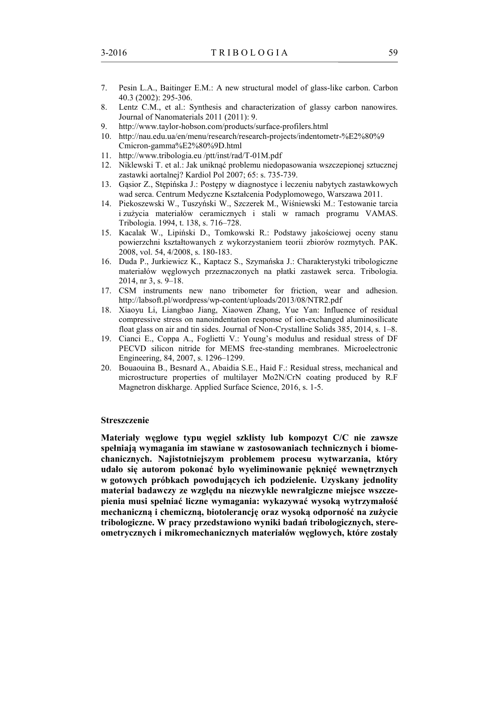- 7. Pesin L.A., Baitinger E.M.: A new structural model of glass-like carbon. Carbon 40.3 (2002): 295-306.
- 8. Lentz C.M., et al.: Synthesis and characterization of glassy carbon nanowires. Journal of Nanomaterials 2011 (2011): 9.
- 9. http://www.taylor-hobson.com/products/surface-profilers.html
- 10. http://nau.edu.ua/en/menu/research/research-projects/indentometr-%E2%80%9 Cmicron-gamma%E2%80%9D.html
- 11. http://www.tribologia.eu /ptt/inst/rad/T-01M.pdf
- 12. Niklewski T. et al.: Jak uniknąć problemu niedopasowania wszczepionej sztucznej zastawki aortalnej? Kardiol Pol 2007; 65: s. 735-739.
- 13. Gąsior Z., Stępińska J.: Postępy w diagnostyce i leczeniu nabytych zastawkowych wad serca. Centrum Medyczne Kształcenia Podyplomowego, Warszawa 2011.
- 14. Piekoszewski W., Tuszyński W., Szczerek M., Wiśniewski M.: Testowanie tarcia i zużycia materiałów ceramicznych i stali w ramach programu VAMAS. Tribologia. 1994, t. 138, s. 716–728.
- 15. Kacalak W., Lipiński D., Tomkowski R.: Podstawy jakościowej oceny stanu powierzchni kształtowanych z wykorzystaniem teorii zbiorów rozmytych. PAK. 2008, vol. 54, 4/2008, s. 180-183.
- 16. Duda P., Jurkiewicz K., Kaptacz S., Szymańska J.: Charakterystyki tribologiczne materiałów węglowych przeznaczonych na płatki zastawek serca. Tribologia. 2014, nr 3, s. 9–18.
- 17. CSM instruments new nano tribometer for friction, wear and adhesion. http://labsoft.pl/wordpress/wp-content/uploads/2013/08/NTR2.pdf
- 18. Xiaoyu Li, Liangbao Jiang, Xiaowen Zhang, Yue Yan: Influence of residual compressive stress on nanoindentation response of ion-exchanged aluminosilicate float glass on air and tin sides. Journal of Non-Crystalline Solids 385, 2014, s. 1–8.
- 19. Cianci E., Coppa A., Foglietti V.: Young's modulus and residual stress of DF PECVD silicon nitride for MEMS free-standing membranes. Microelectronic Engineering, 84, 2007, s. 1296–1299.
- 20. Bouaouina B., Besnard A., Abaidia S.E., Haid F.: Residual stress, mechanical and microstructure properties of multilayer Mo2N/CrN coating produced by R.F Magnetron diskharge. Applied Surface Science, 2016, s. 1-5.

#### **Streszczenie**

**Materiały węglowe typu węgiel szklisty lub kompozyt C/C nie zawsze spełniają wymagania im stawiane w zastosowaniach technicznych i biomechanicznych. Najistotniejszym problemem procesu wytwarzania, który udało się autorom pokonać było wyeliminowanie pęknięć wewnętrznych w gotowych próbkach powodujących ich podzielenie. Uzyskany jednolity materiał badawczy ze względu na niezwykle newralgiczne miejsce wszczepienia musi spełniać liczne wymagania: wykazywać wysoką wytrzymałość mechaniczną i chemiczną, biotolerancję oraz wysoką odporność na zużycie tribologiczne. W pracy przedstawiono wyniki badań tribologicznych, stereometrycznych i mikromechanicznych materiałów węglowych, które zostały**